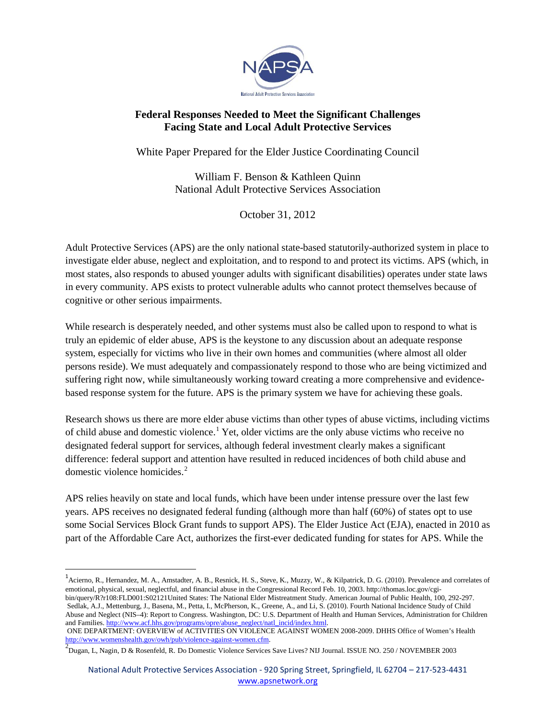

## **Federal Responses Needed to Meet the Significant Challenges Facing State and Local Adult Protective Services**

White Paper Prepared for the Elder Justice Coordinating Council

William F. Benson & Kathleen Quinn National Adult Protective Services Association

October 31, 2012

Adult Protective Services (APS) are the only national state-based statutorily-authorized system in place to investigate elder abuse, neglect and exploitation, and to respond to and protect its victims. APS (which, in most states, also responds to abused younger adults with significant disabilities) operates under state laws in every community. APS exists to protect vulnerable adults who cannot protect themselves because of cognitive or other serious impairments.

While research is desperately needed, and other systems must also be called upon to respond to what is truly an epidemic of elder abuse, APS is the keystone to any discussion about an adequate response system, especially for victims who live in their own homes and communities (where almost all older persons reside). We must adequately and compassionately respond to those who are being victimized and suffering right now, while simultaneously working toward creating a more comprehensive and evidencebased response system for the future. APS is the primary system we have for achieving these goals.

Research shows us there are more elder abuse victims than other types of abuse victims, including victims of child abuse and domestic violence.<sup>1</sup> Yet, older victims are the only abuse victims who receive no designated federal support for services, although federal investment clearly makes a significant difference: federal support and attention have resulted in reduced incidences of both child abuse and domestic violence homicides.<sup>2</sup>

APS relies heavily on state and local funds, which have been under intense pressure over the last few years. APS receives no designated federal funding (although more than half (60%) of states opt to use some Social Services Block Grant funds to support APS). The Elder Justice Act (EJA), enacted in 2010 as part of the Affordable Care Act, authorizes the first-ever dedicated funding for states for APS. While the

<sup>&</sup>lt;sup>1</sup> Acierno, R., Hernandez, M. A., Amstadter, A. B., Resnick, H. S., Steve, K., Muzzy, W., & Kilpatrick, D. G. (2010). Prevalence and correlates of emotional, physical, sexual, neglectful, and financial abuse in the Congressional Record Feb. 10, 2003. http://thomas.loc.gov/cgibin/query/R?r108:FLD001:S02121United States: The National Elder Mistreatment Study. American Journal of Public Health, 100, 292-297.<br>Sedlak, A.J., Mettenburg, J., Basena, M., Petta, I., McPherson, K., Greene, A., and Li, S Abuse and Neglect (NIS–4): Report to Congress. Washington, DC: U.S. Department of Health and Human Services, Administration for Children and Families. [http://www.acf.hhs.gov/programs/opre/abuse\\_neglect/natl\\_incid/index.html.](http://www.acf.hhs.gov/programs/opre/abuse_neglect/natl_incid/index.html)

ONE DEPARTMENT: OVERVIEW of ACTIVITIES ON VIOLENCE AGAINST WOMEN 2008-2009. DHHS Office of Women's Health <http://www.womenshealth.gov/owh/pub/violence-against-women.cfm>. [2](http://www.womenshealth.gov/owh/pub/violence-against-women.cfm)

 $\omega_{\text{Dugan, L, Nagin, D}}$  & Rosenfeld, R. Do Domestic Violence Services Save Lives? NIJ Journal. ISSUE NO. 250 / NOVEMBER 2003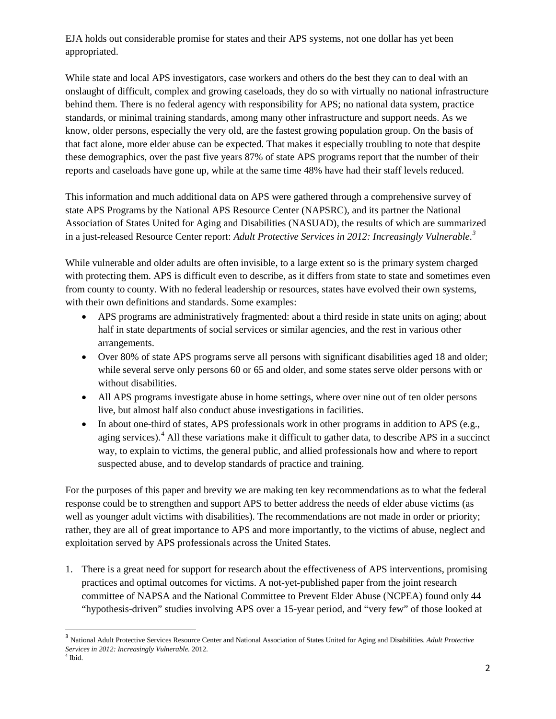EJA holds out considerable promise for states and their APS systems, not one dollar has yet been appropriated.

While state and local APS investigators, case workers and others do the best they can to deal with an onslaught of difficult, complex and growing caseloads, they do so with virtually no national infrastructure behind them. There is no federal agency with responsibility for APS; no national data system, practice standards, or minimal training standards, among many other infrastructure and support needs. As we know, older persons, especially the very old, are the fastest growing population group. On the basis of that fact alone, more elder abuse can be expected. That makes it especially troubling to note that despite these demographics, over the past five years 87% of state APS programs report that the number of their reports and caseloads have gone up, while at the same time 48% have had their staff levels reduced.

This information and much additional data on APS were gathered through a comprehensive survey of state APS Programs by the National APS Resource Center (NAPSRC), and its partner the National Association of States United for Aging and Disabilities (NASUAD), the results of which are summarized in a just-released Resource Center report: *Adult Protective Services in 2012: Increasingly Vulnerable.<sup>3</sup>*

While vulnerable and older adults are often invisible, to a large extent so is the primary system charged with protecting them. APS is difficult even to describe, as it differs from state to state and sometimes even from county to county. With no federal leadership or resources, states have evolved their own systems, with their own definitions and standards. Some examples:

- APS programs are administratively fragmented: about a third reside in state units on aging; about half in state departments of social services or similar agencies, and the rest in various other arrangements.
- Over 80% of state APS programs serve all persons with significant disabilities aged 18 and older; while several serve only persons 60 or 65 and older, and some states serve older persons with or without disabilities.
- All APS programs investigate abuse in home settings, where over nine out of ten older persons live, but almost half also conduct abuse investigations in facilities.
- In about one-third of states, APS professionals work in other programs in addition to APS (e.g., aging services).<sup>4</sup> All these variations make it difficult to gather data, to describe APS in a succinct way, to explain to victims, the general public, and allied professionals how and where to report suspected abuse, and to develop standards of practice and training.

For the purposes of this paper and brevity we are making ten key recommendations as to what the federal response could be to strengthen and support APS to better address the needs of elder abuse victims (as well as younger adult victims with disabilities). The recommendations are not made in order or priority; rather, they are all of great importance to APS and more importantly, to the victims of abuse, neglect and exploitation served by APS professionals across the United States.

1. There is a great need for support for research about the effectiveness of APS interventions, promising practices and optimal outcomes for victims. A not-yet-published paper from the joint research committee of NAPSA and the National Committee to Prevent Elder Abuse (NCPEA) found only 44 "hypothesis-driven" studies involving APS over a 15-year period, and "very few" of those looked at

<sup>3</sup> National Adult Protective Services Resource Center and National Association of States United for Aging and Disabilities. *Adult Protective Services in 2012: Increasingly Vulnerable.* 2012.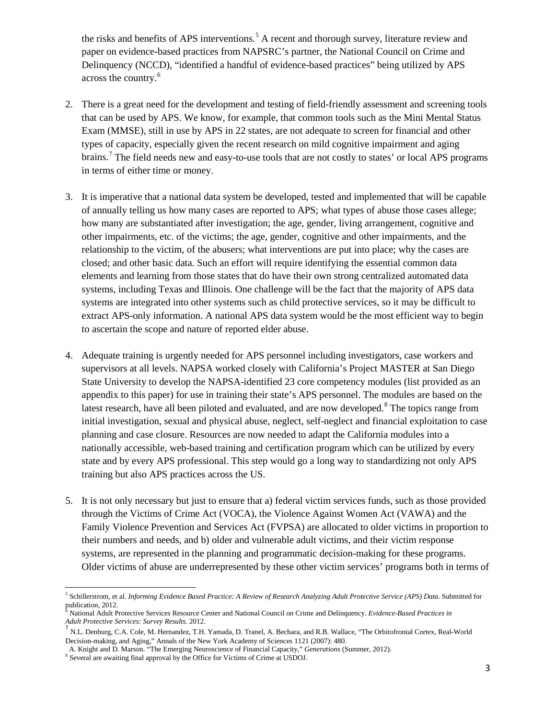the risks and benefits of APS interventions.<sup>5</sup> A recent and thorough survey, literature review and paper on evidence-based practices from NAPSRC's partner, the National Council on Crime and Delinquency (NCCD), "identified a handful of evidence-based practices" being utilized by APS across the country. 6

- There is a great need for the development and testing of field-friendly assessment and screening tools 2. that can be used by APS. We know, for example, that common tools such as the Mini Mental Status Exam (MMSE), still in use by APS in 22 states, are not adequate to screen for financial and other types of capacity, especially given the recent research on mild cognitive impairment and aging brains.<sup>7</sup> The field needs new and easy-to-use tools that are not costly to states' or local APS programs in terms of either time or money.
- It is imperative that a national data system be developed, tested and implemented that will be capable 3. of annually telling us how many cases are reported to APS; what types of abuse those cases allege; how many are substantiated after investigation; the age, gender, living arrangement, cognitive and other impairments, etc. of the victims; the age, gender, cognitive and other impairments, and the relationship to the victim, of the abusers; what interventions are put into place; why the cases are closed; and other basic data. Such an effort will require identifying the essential common data elements and learning from those states that do have their own strong centralized automated data systems, including Texas and Illinois. One challenge will be the fact that the majority of APS data systems are integrated into other systems such as child protective services, so it may be difficult to extract APS-only information. A national APS data system would be the most efficient way to begin to ascertain the scope and nature of reported elder abuse.
- 4. Adequate training is urgently needed for APS personnel including investigators, case workers and supervisors at all levels. NAPSA worked closely with California's Project MASTER at San Diego State University to develop the NAPSA-identified 23 core competency modules (list provided as an appendix to this paper) for use in training their state's APS personnel. The modules are based on the latest research, have all been piloted and evaluated, and are now developed. <sup>8</sup> The topics range from initial investigation, sexual and physical abuse, neglect, self-neglect and financial exploitation to case planning and case closure. Resources are now needed to adapt the California modules into a nationally accessible, web-based training and certification program which can be utilized by every state and by every APS professional. This step would go a long way to standardizing not only APS training but also APS practices across the US.
- 5. It is not only necessary but just to ensure that a) federal victim services funds, such as those provided through the Victims of Crime Act (VOCA), the Violence Against Women Act (VAWA) and the Family Violence Prevention and Services Act (FVPSA) are allocated to older victims in proportion to their numbers and needs, and b) older and vulnerable adult victims, and their victim response systems, are represented in the planning and programmatic decision-making for these programs. Older victims of abuse are underrepresented by these other victim services' programs both in terms of

<sup>5</sup> Schillerstrom, et al. *Informing Evidence Based Practice: A Review of Research Analyzing Adult Protective Service (APS) Data*. Submitted for publication, 2012.

<sup>6</sup> National Adult Protective Services Resource Center and National Council on Crime and Delinquency. *Evidence-Based Practices in*

<sup>&</sup>lt;sup>7</sup> N.L. Denburg, C.A. Cole, M. Hernandez, T.H. Yamada, D. Tranel, A. Bechara, and R.B. Wallace, "The Orbitofrontal Cortex, Real-World Decision-making, and Aging," Annals of the New York Academy of Sciences 1121 (2007): 480.

A. Knight and D. Marson. "The Emerging Neuroscience of Financial Capacity," *Generations* (Summer, 2012).

<sup>8</sup> Several are awaiting final approval by the Office for Victims of Crime at USDOJ.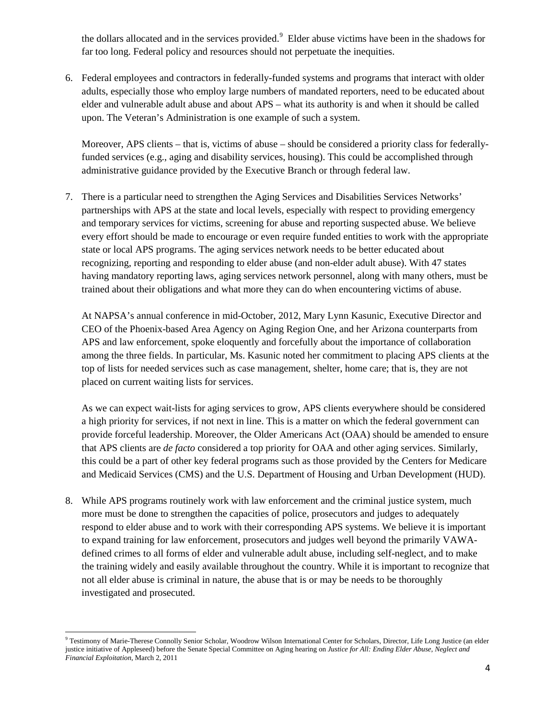the dollars allocated and in the services provided.<sup>9</sup> Elder abuse victims have been in the shadows for far too long. Federal policy and resources should not perpetuate the inequities.

Federal employees and contractors in federally-funded systems and programs that interact with older 6. adults, especially those who employ large numbers of mandated reporters, need to be educated about elder and vulnerable adult abuse and about APS – what its authority is and when it should be called upon. The Veteran's Administration is one example of such a system.

Moreover, APS clients – that is, victims of abuse – should be considered a priority class for federallyfunded services (e.g., aging and disability services, housing). This could be accomplished through administrative guidance provided by the Executive Branch or through federal law.

There is a particular need to strengthen the Aging Services and Disabilities Services Networks' 7. partnerships with APS at the state and local levels, especially with respect to providing emergency and temporary services for victims, screening for abuse and reporting suspected abuse. We believe every effort should be made to encourage or even require funded entities to work with the appropriate state or local APS programs. The aging services network needs to be better educated about recognizing, reporting and responding to elder abuse (and non-elder adult abuse). With 47 states having mandatory reporting laws, aging services network personnel, along with many others, must be trained about their obligations and what more they can do when encountering victims of abuse.

At NAPSA's annual conference in mid-October, 2012, Mary Lynn Kasunic, Executive Director and CEO of the Phoenix-based Area Agency on Aging Region One, and her Arizona counterparts from APS and law enforcement, spoke eloquently and forcefully about the importance of collaboration among the three fields. In particular, Ms. Kasunic noted her commitment to placing APS clients at the top of lists for needed services such as case management, shelter, home care; that is, they are not placed on current waiting lists for services.

As we can expect wait-lists for aging services to grow, APS clients everywhere should be considered a high priority for services, if not next in line. This is a matter on which the federal government can provide forceful leadership. Moreover, the Older Americans Act (OAA) should be amended to ensure that APS clients are *de facto* considered a top priority for OAA and other aging services. Similarly, this could be a part of other key federal programs such as those provided by the Centers for Medicare and Medicaid Services (CMS) and the U.S. Department of Housing and Urban Development (HUD).

While APS programs routinely work with law enforcement and the criminal justice system, much 8. more must be done to strengthen the capacities of police, prosecutors and judges to adequately respond to elder abuse and to work with their corresponding APS systems. We believe it is important to expand training for law enforcement, prosecutors and judges well beyond the primarily VAWAdefined crimes to all forms of elder and vulnerable adult abuse, including self-neglect, and to make the training widely and easily available throughout the country. While it is important to recognize that not all elder abuse is criminal in nature, the abuse that is or may be needs to be thoroughly investigated and prosecuted.

<sup>&</sup>lt;sup>9</sup> Testimony of Marie-Therese Connolly Senior Scholar, Woodrow Wilson International Center for Scholars, Director, Life Long Justice (an elder justice initiative of Appleseed) before the Senate Special Committee on Aging hearing on *Justice for All: Ending Elder Abuse, Neglect and Financial Exploitation*, March 2, 2011  $\overline{\phantom{a}}$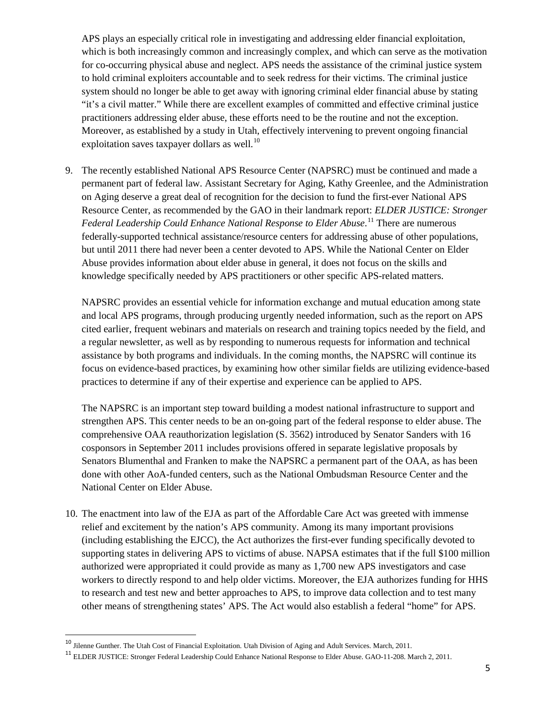APS plays an especially critical role in investigating and addressing elder financial exploitation, which is both increasingly common and increasingly complex, and which can serve as the motivation for co-occurring physical abuse and neglect. APS needs the assistance of the criminal justice system to hold criminal exploiters accountable and to seek redress for their victims. The criminal justice system should no longer be able to get away with ignoring criminal elder financial abuse by stating "it's a civil matter." While there are excellent examples of committed and effective criminal justice practitioners addressing elder abuse, these efforts need to be the routine and not the exception. Moreover, as established by a study in Utah, effectively intervening to prevent ongoing financial exploitation saves taxpayer dollars as well.<sup>10</sup>

The recently established National APS Resource Center (NAPSRC) must be continued and made a 9. permanent part of federal law. Assistant Secretary for Aging, Kathy Greenlee, and the Administration on Aging deserve a great deal of recognition for the decision to fund the first-ever National APS Resource Center, as recommended by the GAO in their landmark report: *ELDER JUSTICE: Stronger Federal Leadership Could Enhance National Response to Elder Abuse*. 11 There are numerous federally-supported technical assistance/resource centers for addressing abuse of other populations, but until 2011 there had never been a center devoted to APS. While the National Center on Elder Abuse provides information about elder abuse in general, it does not focus on the skills and knowledge specifically needed by APS practitioners or other specific APS-related matters.

NAPSRC provides an essential vehicle for information exchange and mutual education among state and local APS programs, through producing urgently needed information, such as the report on APS cited earlier, frequent webinars and materials on research and training topics needed by the field, and a regular newsletter, as well as by responding to numerous requests for information and technical assistance by both programs and individuals. In the coming months, the NAPSRC will continue its focus on evidence-based practices, by examining how other similar fields are utilizing evidence-based practices to determine if any of their expertise and experience can be applied to APS.

The NAPSRC is an important step toward building a modest national infrastructure to support and strengthen APS. This center needs to be an on-going part of the federal response to elder abuse. The comprehensive OAA reauthorization legislation (S. 3562) introduced by Senator Sanders with 16 cosponsors in September 2011 includes provisions offered in separate legislative proposals by Senators Blumenthal and Franken to make the NAPSRC a permanent part of the OAA, as has been done with other AoA-funded centers, such as the National Ombudsman Resource Center and the National Center on Elder Abuse.

10. The enactment into law of the EJA as part of the Affordable Care Act was greeted with immense relief and excitement by the nation's APS community. Among its many important provisions (including establishing the EJCC), the Act authorizes the first-ever funding specifically devoted to supporting states in delivering APS to victims of abuse. NAPSA estimates that if the full \$100 million authorized were appropriated it could provide as many as 1,700 new APS investigators and case workers to directly respond to and help older victims. Moreover, the EJA authorizes funding for HHS to research and test new and better approaches to APS, to improve data collection and to test many other means of strengthening states' APS. The Act would also establish a federal "home" for APS.

l

<sup>&</sup>lt;sup>10</sup> Jilenne Gunther. The Utah Cost of Financial Exploitation. Utah Division of Aging and Adult Services. March, 2011.

<sup>11</sup> ELDER JUSTICE: Stronger Federal Leadership Could Enhance National Response to Elder Abuse. GAO-11-208. March 2, 2011.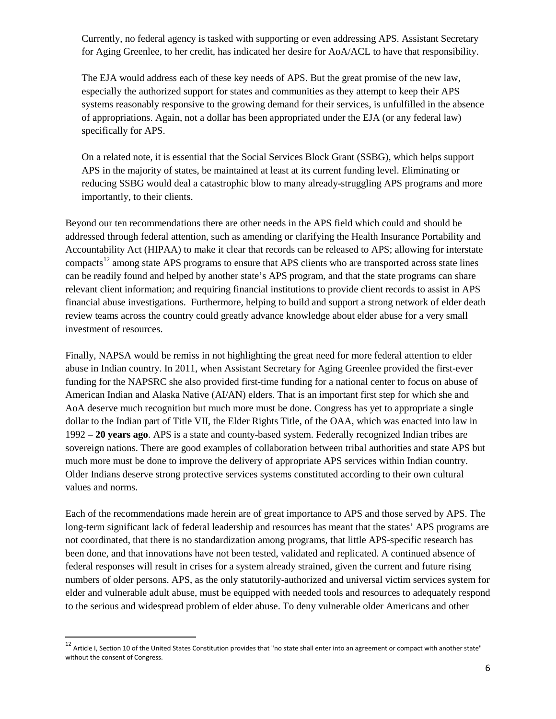Currently, no federal agency is tasked with supporting or even addressing APS. Assistant Secretary for Aging Greenlee, to her credit, has indicated her desire for AoA/ACL to have that responsibility.

The EJA would address each of these key needs of APS. But the great promise of the new law, especially the authorized support for states and communities as they attempt to keep their APS systems reasonably responsive to the growing demand for their services, is unfulfilled in the absence of appropriations. Again, not a dollar has been appropriated under the EJA (or any federal law) specifically for APS.

On a related note, it is essential that the Social Services Block Grant (SSBG), which helps support APS in the majority of states, be maintained at least at its current funding level. Eliminating or reducing SSBG would deal a catastrophic blow to many already-struggling APS programs and more importantly, to their clients.

Beyond our ten recommendations there are other needs in the APS field which could and should be addressed through federal attention, such as amending or clarifying the Health Insurance Portability and Accountability Act (HIPAA) to make it clear that records can be released to APS; allowing for interstate compacts<sup>12</sup> among state APS programs to ensure that APS clients who are transported across state lines can be readily found and helped by another state's APS program, and that the state programs can share relevant client information; and requiring financial institutions to provide client records to assist in APS financial abuse investigations. Furthermore, helping to build and support a strong network of elder death review teams across the country could greatly advance knowledge about elder abuse for a very small investment of resources.

Finally, NAPSA would be remiss in not highlighting the great need for more federal attention to elder abuse in Indian country. In 2011, when Assistant Secretary for Aging Greenlee provided the first-ever funding for the NAPSRC she also provided first-time funding for a national center to focus on abuse of American Indian and Alaska Native (AI/AN) elders. That is an important first step for which she and AoA deserve much recognition but much more must be done. Congress has yet to appropriate a single dollar to the Indian part of Title VII, the Elder Rights Title, of the OAA, which was enacted into law in 1992 – **20 years ago**. APS is a state and county-based system. Federally recognized Indian tribes are sovereign nations. There are good examples of collaboration between tribal authorities and state APS but much more must be done to improve the delivery of appropriate APS services within Indian country. Older Indians deserve strong protective services systems constituted according to their own cultural values and norms.

Each of the recommendations made herein are of great importance to APS and those served by APS. The long-term significant lack of federal leadership and resources has meant that the states' APS programs are not coordinated, that there is no standardization among programs, that little APS-specific research has been done, and that innovations have not been tested, validated and replicated. A continued absence of federal responses will result in crises for a system already strained, given the current and future rising numbers of older persons. APS, as the only statutorily-authorized and universal victim services system for elder and vulnerable adult abuse, must be equipped with needed tools and resources to adequately respond to the serious and widespread problem of elder abuse. To deny vulnerable older Americans and other

 $^{12}$  Article I, Section 10 of the United States Constitution provides that "no state shall enter into an agreement or compact with another state" without the consent of Congress.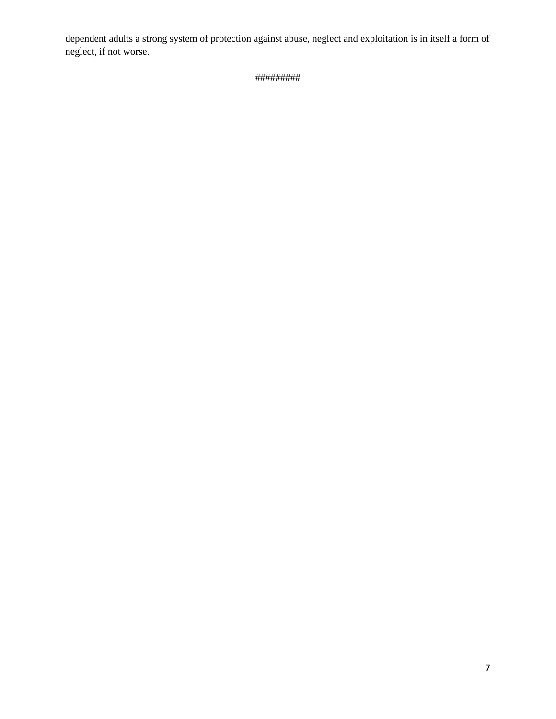dependent adults a strong system of protection against abuse, neglect and exploitation is in itself a form of neglect, if not worse.

#########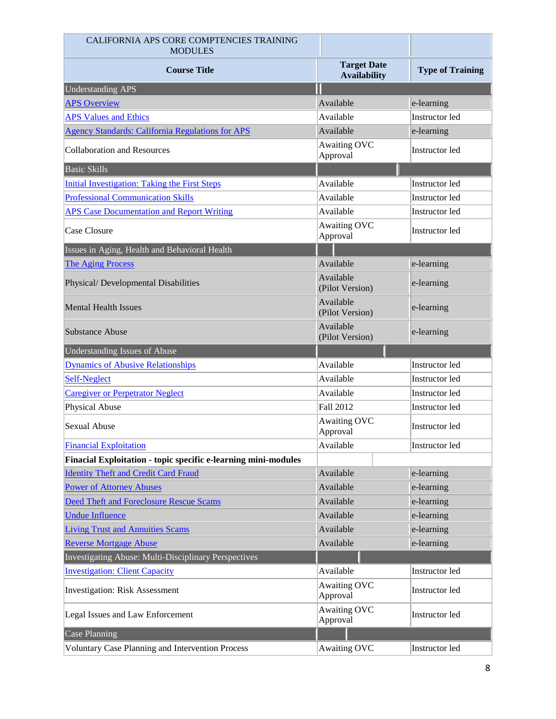| CALIFORNIA APS CORE COMPTENCIES TRAINING<br><b>MODULES</b>     |                                           |                         |
|----------------------------------------------------------------|-------------------------------------------|-------------------------|
| <b>Course Title</b>                                            | <b>Target Date</b><br><b>Availability</b> | <b>Type of Training</b> |
| <b>Understanding APS</b>                                       |                                           |                         |
| <b>APS Overview</b>                                            | Available                                 | e-learning              |
| <b>APS Values and Ethics</b>                                   | Available                                 | Instructor led          |
| <b>Agency Standards: California Regulations for APS</b>        | Available                                 | e-learning              |
| <b>Collaboration and Resources</b>                             | <b>Awaiting OVC</b><br>Approval           | Instructor led          |
| Basic Skills                                                   |                                           |                         |
| <b>Initial Investigation: Taking the First Steps</b>           | Available                                 | Instructor led          |
| <b>Professional Communication Skills</b>                       | Available                                 | Instructor led          |
| <b>APS Case Documentation and Report Writing</b>               | Available                                 | Instructor led          |
| Case Closure                                                   | <b>Awaiting OVC</b><br>Approval           | Instructor led          |
| Issues in Aging, Health and Behavioral Health                  |                                           |                         |
| <b>The Aging Process</b>                                       | Available                                 | e-learning              |
| Physical/ Developmental Disabilities                           | Available<br>(Pilot Version)              | e-learning              |
| <b>Mental Health Issues</b>                                    | Available<br>(Pilot Version)              | e-learning              |
| <b>Substance Abuse</b>                                         | Available<br>(Pilot Version)              | e-learning              |
| Understanding Issues of Abuse                                  |                                           |                         |
| <b>Dynamics of Abusive Relationships</b>                       | Available                                 | Instructor led          |
| <b>Self-Neglect</b>                                            | Available                                 | Instructor led          |
|                                                                |                                           |                         |
| <b>Caregiver or Perpetrator Neglect</b>                        | Available                                 | Instructor led          |
| Physical Abuse                                                 | Fall 2012                                 | Instructor led          |
| <b>Sexual Abuse</b>                                            | <b>Awaiting OVC</b><br>Approval           | Instructor led          |
| <b>Financial Exploitation</b>                                  | Available                                 | Instructor led          |
| Finacial Exploitation - topic specific e-learning mini-modules |                                           |                         |
| <b>Identity Theft and Credit Card Fraud</b>                    | Available                                 | e-learning              |
| <b>Power of Attorney Abuses</b>                                | Available                                 | e-learning              |
| <b>Deed Theft and Foreclosure Rescue Scams</b>                 | Available                                 | e-learning              |
| <b>Undue Influence</b>                                         | Available                                 | e-learning              |
| <b>Living Trust and Annuities Scams</b>                        | Available                                 | e-learning              |
| <b>Reverse Mortgage Abuse</b>                                  | Available                                 | e-learning              |
| Investigating Abuse: Multi-Disciplinary Perspectives           |                                           |                         |
| <b>Investigation: Client Capacity</b>                          | Available                                 | Instructor led          |
| <b>Investigation: Risk Assessment</b>                          | Awaiting OVC<br>Approval                  | Instructor led          |
| Legal Issues and Law Enforcement                               | <b>Awaiting OVC</b><br>Approval           | Instructor led          |
| Case Planning                                                  |                                           |                         |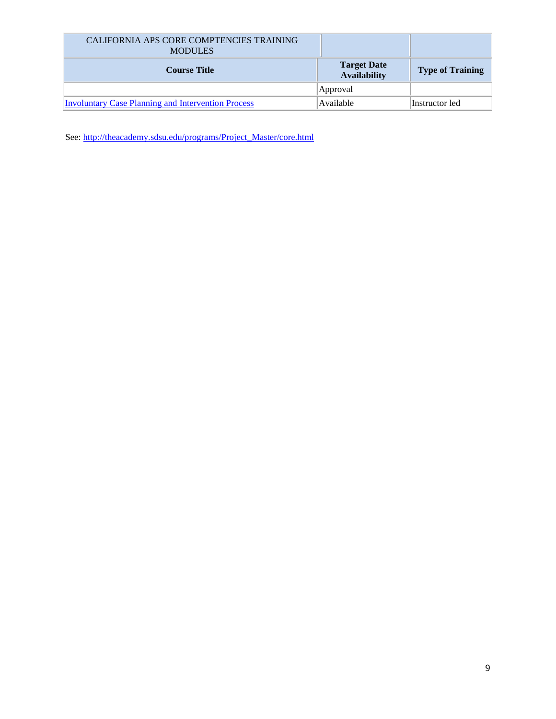| CALIFORNIA APS CORE COMPTENCIES TRAINING<br><b>MODULES</b> |                                           |                         |
|------------------------------------------------------------|-------------------------------------------|-------------------------|
| <b>Course Title</b>                                        | <b>Target Date</b><br><b>Availability</b> | <b>Type of Training</b> |
|                                                            | Approval                                  |                         |
| <b>Involuntary Case Planning and Intervention Process</b>  | Available                                 | Instructor led          |

See: [http://theacademy.sdsu.edu/programs/Project\\_Master/core.html](http://theacademy.sdsu.edu/programs/Project_Master/core.html)